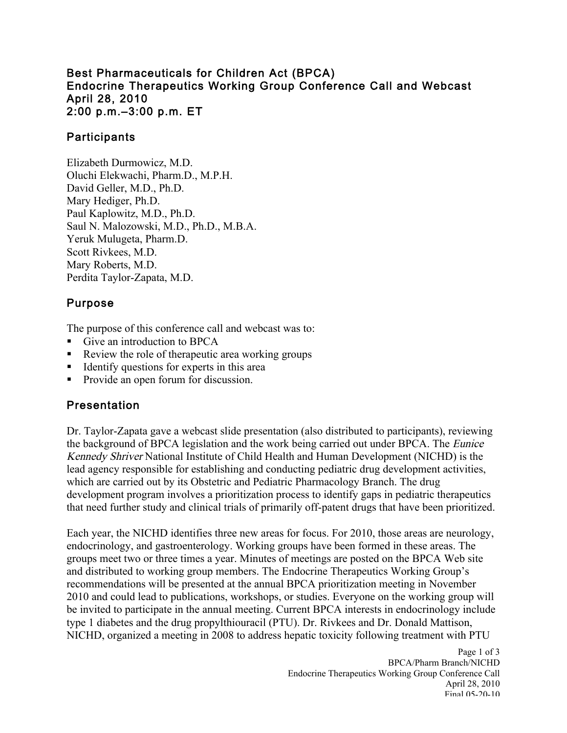### Best Pharmaceuticals for Children Act (BPCA) Endocrine Therapeutics Working Group Conference Call and Webcast April 28, 2010 2:00 p.m.–3:00 p.m. ET

## **Participants**

Elizabeth Durmowicz, M.D. Oluchi Elekwachi, Pharm.D., M.P.H. David Geller, M.D., Ph.D. Mary Hediger, Ph.D. Paul Kaplowitz, M.D., Ph.D. Saul N. Malozowski, M.D., Ph.D., M.B.A. Yeruk Mulugeta, Pharm.D. Scott Rivkees, M.D. Mary Roberts, M.D. Perdita Taylor-Zapata, M.D.

## Purpose

The purpose of this conference call and webcast was to:

- Give an introduction to BPCA
- Review the role of therapeutic area working groups
- Identify questions for experts in this area
- Provide an open forum for discussion.

## Presentation

Dr. Taylor-Zapata gave a webcast slide presentation (also distributed to participants), reviewing the background of BPCA legislation and the work being carried out under BPCA. The Eunice Kennedy Shriver National Institute of Child Health and Human Development (NICHD) is the lead agency responsible for establishing and conducting pediatric drug development activities, which are carried out by its Obstetric and Pediatric Pharmacology Branch. The drug development program involves a prioritization process to identify gaps in pediatric therapeutics that need further study and clinical trials of primarily off-patent drugs that have been prioritized.

Each year, the NICHD identifies three new areas for focus. For 2010, those areas are neurology, endocrinology, and gastroenterology. Working groups have been formed in these areas. The groups meet two or three times a year. Minutes of meetings are posted on the BPCA Web site and distributed to working group members. The Endocrine Therapeutics Working Group's recommendations will be presented at the annual BPCA prioritization meeting in November 2010 and could lead to publications, workshops, or studies. Everyone on the working group will be invited to participate in the annual meeting. Current BPCA interests in endocrinology include type 1 diabetes and the drug propylthiouracil (PTU). Dr. Rivkees and Dr. Donald Mattison, NICHD, organized a meeting in 2008 to address hepatic toxicity following treatment with PTU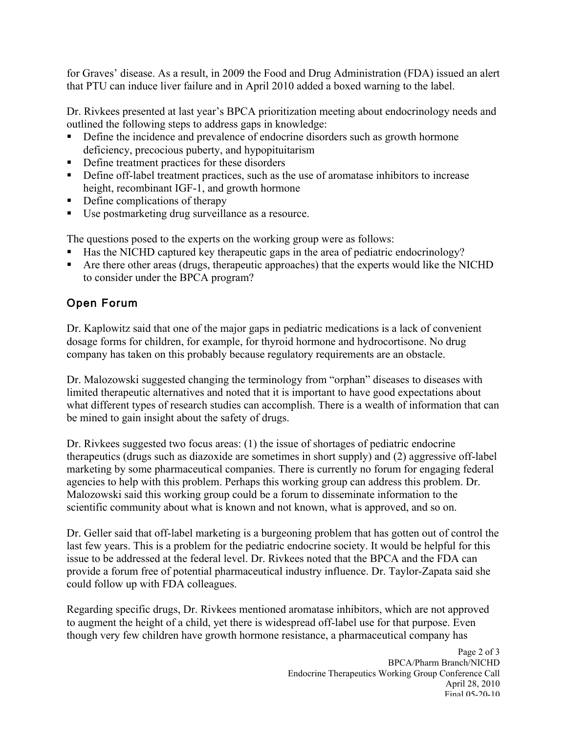for Graves' disease. As a result, in 2009 the Food and Drug Administration (FDA) issued an alert that PTU can induce liver failure and in April 2010 added a boxed warning to the label.

Dr. Rivkees presented at last year's BPCA prioritization meeting about endocrinology needs and outlined the following steps to address gaps in knowledge:

- Define the incidence and prevalence of endocrine disorders such as growth hormone deficiency, precocious puberty, and hypopituitarism
- Define treatment practices for these disorders
- Define off-label treatment practices, such as the use of aromatase inhibitors to increase height, recombinant IGF-1, and growth hormone
- Define complications of therapy
- Use postmarketing drug surveillance as a resource.

The questions posed to the experts on the working group were as follows:

- Has the NICHD captured key therapeutic gaps in the area of pediatric endocrinology?
- Are there other areas (drugs, therapeutic approaches) that the experts would like the NICHD to consider under the BPCA program?

# Open Forum

Dr. Kaplowitz said that one of the major gaps in pediatric medications is a lack of convenient dosage forms for children, for example, for thyroid hormone and hydrocortisone. No drug company has taken on this probably because regulatory requirements are an obstacle.

 limited therapeutic alternatives and noted that it is important to have good expectations about be mined to gain insight about the safety of drugs. Dr. Malozowski suggested changing the terminology from "orphan" diseases to diseases with what different types of research studies can accomplish. There is a wealth of information that can

Dr. Rivkees suggested two focus areas: (1) the issue of shortages of pediatric endocrine therapeutics (drugs such as diazoxide are sometimes in short supply) and (2) aggressive off-label marketing by some pharmaceutical companies. There is currently no forum for engaging federal agencies to help with this problem. Perhaps this working group can address this problem. Dr. Malozowski said this working group could be a forum to disseminate information to the scientific community about what is known and not known, what is approved, and so on.

Dr. Geller said that off-label marketing is a burgeoning problem that has gotten out of control the last few years. This is a problem for the pediatric endocrine society. It would be helpful for this issue to be addressed at the federal level. Dr. Rivkees noted that the BPCA and the FDA can provide a forum free of potential pharmaceutical industry influence. Dr. Taylor-Zapata said she could follow up with FDA colleagues.

Regarding specific drugs, Dr. Rivkees mentioned aromatase inhibitors, which are not approved to augment the height of a child, yet there is widespread off-label use for that purpose. Even though very few children have growth hormone resistance, a pharmaceutical company has